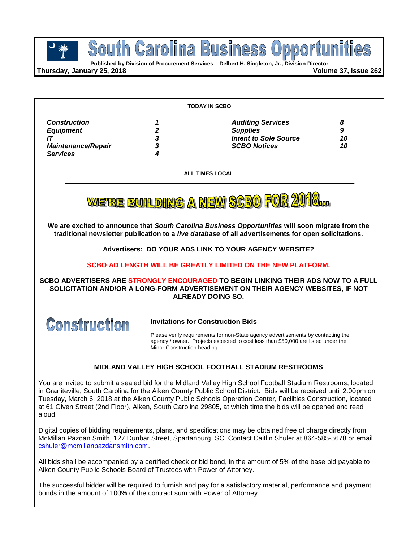**Published by Division of Procurement Services – Delbert H. Singleton, Jr., Division Director**

**Thursday, January 25, 2018 Volume 37, Issue 262**

|                                                                                                                             |                             | <b>TODAY IN SCBO</b>                                                                                                                                                                                                                                                                                                                                                                                                                                               |                    |  |
|-----------------------------------------------------------------------------------------------------------------------------|-----------------------------|--------------------------------------------------------------------------------------------------------------------------------------------------------------------------------------------------------------------------------------------------------------------------------------------------------------------------------------------------------------------------------------------------------------------------------------------------------------------|--------------------|--|
| <b>Construction</b><br><b>Equipment</b><br>IT<br><b>Maintenance/Repair</b><br><b>Services</b>                               | 1<br>2<br>3<br>3<br>4       | <b>Auditing Services</b><br><b>Supplies</b><br><b>Intent to Sole Source</b><br><b>SCBO Notices</b>                                                                                                                                                                                                                                                                                                                                                                 | 8<br>9<br>10<br>10 |  |
|                                                                                                                             |                             | <b>ALL TIMES LOCAL</b>                                                                                                                                                                                                                                                                                                                                                                                                                                             |                    |  |
|                                                                                                                             |                             | WE'RE BUILDING A NEW SCBO FOR 2010                                                                                                                                                                                                                                                                                                                                                                                                                                 |                    |  |
|                                                                                                                             |                             | We are excited to announce that South Carolina Business Opportunities will soon migrate from the<br>traditional newsletter publication to a live database of all advertisements for open solicitations.                                                                                                                                                                                                                                                            |                    |  |
| <b>Advertisers: DO YOUR ADS LINK TO YOUR AGENCY WEBSITE?</b><br>SCBO AD LENGTH WILL BE GREATLY LIMITED ON THE NEW PLATFORM. |                             |                                                                                                                                                                                                                                                                                                                                                                                                                                                                    |                    |  |
|                                                                                                                             |                             |                                                                                                                                                                                                                                                                                                                                                                                                                                                                    |                    |  |
| SCBO ADVERTISERS ARE STRONGLY ENCOURAGED TO BEGIN LINKING THEIR ADS NOW TO A FULL                                           |                             | SOLICITATION AND/OR A LONG-FORM ADVERTISEMENT ON THEIR AGENCY WEBSITES, IF NOT<br><b>ALREADY DOING SO.</b>                                                                                                                                                                                                                                                                                                                                                         |                    |  |
|                                                                                                                             |                             | <b>Invitations for Construction Bids</b>                                                                                                                                                                                                                                                                                                                                                                                                                           |                    |  |
| <b>Construction</b>                                                                                                         | Minor Construction heading. | Please verify requirements for non-State agency advertisements by contacting the<br>agency / owner. Projects expected to cost less than \$50,000 are listed under the                                                                                                                                                                                                                                                                                              |                    |  |
|                                                                                                                             |                             | <b>MIDLAND VALLEY HIGH SCHOOL FOOTBALL STADIUM RESTROOMS</b>                                                                                                                                                                                                                                                                                                                                                                                                       |                    |  |
| aloud.                                                                                                                      |                             | You are invited to submit a sealed bid for the Midland Valley High School Football Stadium Restrooms, located<br>in Graniteville, South Carolina for the Aiken County Public School District. Bids will be received until 2:00pm on<br>Tuesday, March 6, 2018 at the Aiken County Public Schools Operation Center, Facilities Construction, located<br>at 61 Given Street (2nd Floor), Aiken, South Carolina 29805, at which time the bids will be opened and read |                    |  |
| cshuler@mcmillanpazdansmith.com.                                                                                            |                             | Digital copies of bidding requirements, plans, and specifications may be obtained free of charge directly from<br>McMillan Pazdan Smith, 127 Dunbar Street, Spartanburg, SC. Contact Caitlin Shuler at 864-585-5678 or email                                                                                                                                                                                                                                       |                    |  |
| Aiken County Public Schools Board of Trustees with Power of Attorney.                                                       |                             | All bids shall be accompanied by a certified check or bid bond, in the amount of 5% of the base bid payable to                                                                                                                                                                                                                                                                                                                                                     |                    |  |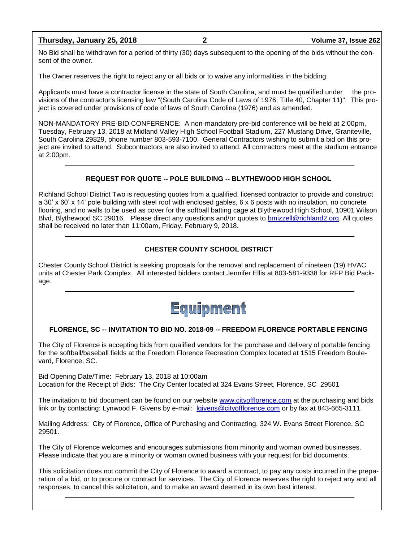# **Thursday, January 25, 2018 2 Volume 37, Issue 262**

No Bid shall be withdrawn for a period of thirty (30) days subsequent to the opening of the bids without the consent of the owner.

The Owner reserves the right to reject any or all bids or to waive any informalities in the bidding.

Applicants must have a contractor license in the state of South Carolina, and must be qualified under the provisions of the contractor's licensing law "(South Carolina Code of Laws of 1976, Title 40, Chapter 11)". This project is covered under provisions of code of laws of South Carolina (1976) and as amended.

NON-MANDATORY PRE-BID CONFERENCE: A non-mandatory pre-bid conference will be held at 2:00pm, Tuesday, February 13, 2018 at Midland Valley High School Football Stadium, 227 Mustang Drive, Graniteville, South Carolina 29829, phone number 803-593-7100. General Contractors wishing to submit a bid on this project are invited to attend. Subcontractors are also invited to attend. All contractors meet at the stadium entrance at 2:00pm.

# **REQUEST FOR QUOTE -- POLE BUILDING -- BLYTHEWOOD HIGH SCHOOL**

Richland School District Two is requesting quotes from a qualified, licensed contractor to provide and construct a 30' x 60' x 14' pole building with steel roof with enclosed gables, 6 x 6 posts with no insulation, no concrete flooring, and no walls to be used as cover for the softball batting cage at Blythewood High School, 10901 Wilson Blvd, Blythewood SC 29016. Please direct any questions and/or quotes to [bmizzell@richland2.org.](mailto:bmizzell@richland2.org) All quotes shall be received no later than 11:00am, Friday, February 9, 2018.

# **CHESTER COUNTY SCHOOL DISTRICT**

Chester County School District is seeking proposals for the removal and replacement of nineteen (19) HVAC units at Chester Park Complex. All interested bidders contact Jennifer Ellis at 803-581-9338 for RFP Bid Package.



# **FLORENCE, SC -- INVITATION TO BID NO. 2018-09 -- FREEDOM FLORENCE PORTABLE FENCING**

The City of Florence is accepting bids from qualified vendors for the purchase and delivery of portable fencing for the softball/baseball fields at the Freedom Florence Recreation Complex located at 1515 Freedom Boulevard, Florence, SC.

Bid Opening Date/Time: February 13, 2018 at 10:00am Location for the Receipt of Bids: The City Center located at 324 Evans Street, Florence, SC 29501

The invitation to bid document can be found on our website [www.cityofflorence.com](http://www.cityofflorence.com/) at the purchasing and bids link or by contacting: Lynwood F. Givens by e-mail: [lgivens@cityofflorence.com](mailto:lgivens@cityofflorence.com) or by fax at 843-665-3111.

Mailing Address: City of Florence, Office of Purchasing and Contracting, 324 W. Evans Street Florence, SC 29501.

The City of Florence welcomes and encourages submissions from minority and woman owned businesses. Please indicate that you are a minority or woman owned business with your request for bid documents.

This solicitation does not commit the City of Florence to award a contract, to pay any costs incurred in the preparation of a bid, or to procure or contract for services. The City of Florence reserves the right to reject any and all responses, to cancel this solicitation, and to make an award deemed in its own best interest.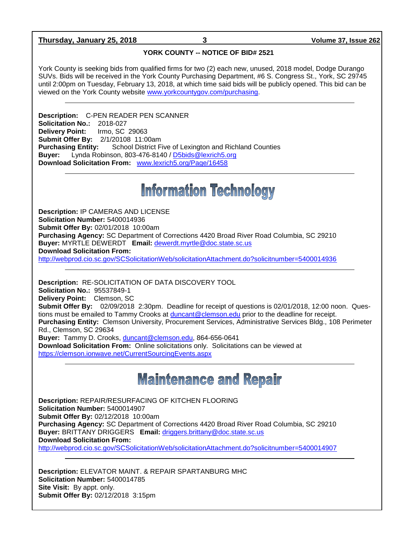# **Thursday, January 25, 2018 3 Volume 37, Issue 262**

# **YORK COUNTY -- NOTICE OF BID# 2521**

York County is seeking bids from qualified firms for two (2) each new, unused, 2018 model, Dodge Durango SUVs. Bids will be received in the York County Purchasing Department, #6 S. Congress St., York, SC 29745 until 2:00pm on Tuesday, February 13, 2018, at which time said bids will be publicly opened. This bid can be viewed on the York County website [www.yorkcountygov.com/purchasing.](http://www.yorkcountygov.com/purchasing)

**Description:** C-PEN READER PEN SCANNER **Solicitation No.:** 2018-027 **Delivery Point:** Irmo, SC 29063 **Submit Offer By:** 2/1/20108 11:00am<br>**Purchasing Entity:** School District F **School District Five of Lexington and Richland Counties Buyer:** Lynda Robinson, 803-476-8140 / [D5bids@lexrich5.org](mailto:D5bids@lexrich5.org) **Download Solicitation From:** [www.lexrich5.org/Page/16458](http://www.lexrich5.org/Page/16458)

# **Information Technology**

**Description:** IP CAMERAS AND LICENSE **Solicitation Number:** 5400014936 **Submit Offer By:** 02/01/2018 10:00am **Purchasing Agency:** SC Department of Corrections 4420 Broad River Road Columbia, SC 29210 **Buyer:** MYRTLE DEWERDT **Email:** [dewerdt.myrtle@doc.state.sc.us](mailto:dewerdt.myrtle@doc.state.sc.us) **Download Solicitation From:**  <http://webprod.cio.sc.gov/SCSolicitationWeb/solicitationAttachment.do?solicitnumber=5400014936>

**Description:** RE-SOLICITATION OF DATA DISCOVERY TOOL **Solicitation No.:** 95537849-1 **Delivery Point:** Clemson, SC **Submit Offer By:** 02/09/2018 2:30pm. Deadline for receipt of questions is 02/01/2018, 12:00 noon. Questions must be emailed to Tammy Crooks at [duncant@clemson.edu](mailto:duncant@clemson.edu) prior to the deadline for receipt. **Purchasing Entity:** Clemson University, Procurement Services, Administrative Services Bldg., 108 Perimeter Rd., Clemson, SC 29634 **Buyer:** Tammy D. Crooks, [duncant@clemson.edu,](mailto:duncant@clemson.edu) 864-656-0641 **Download Solicitation From:** Online solicitations only. Solicitations can be viewed at <https://clemson.ionwave.net/CurrentSourcingEvents.aspx>

# **Maintenance and Repair**

**Description:** REPAIR/RESURFACING OF KITCHEN FLOORING **Solicitation Number:** 5400014907 **Submit Offer By:** 02/12/2018 10:00am **Purchasing Agency:** SC Department of Corrections 4420 Broad River Road Columbia, SC 29210 **Buyer:** BRITTANY DRIGGERS **Email:** [driggers.brittany@doc.state.sc.us](mailto:driggers.brittany@doc.state.sc.us) **Download Solicitation From:**  <http://webprod.cio.sc.gov/SCSolicitationWeb/solicitationAttachment.do?solicitnumber=5400014907>

**Description:** ELEVATOR MAINT. & REPAIR SPARTANBURG MHC **Solicitation Number:** 5400014785 **Site Visit:** By appt. only. **Submit Offer By:** 02/12/2018 3:15pm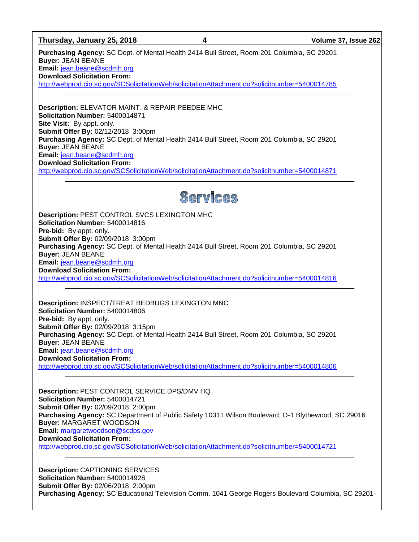#### **Thursday, January 25, 2018 4 Volume 37, Issue 262**

**Purchasing Agency:** SC Dept. of Mental Health 2414 Bull Street, Room 201 Columbia, SC 29201 **Buyer:** JEAN BEANE **Email:** [jean.beane@scdmh.org](mailto:jean.beane@scdmh.org)

**Download Solicitation From:** 

<http://webprod.cio.sc.gov/SCSolicitationWeb/solicitationAttachment.do?solicitnumber=5400014785>

**Description:** ELEVATOR MAINT. & REPAIR PEEDEE MHC **Solicitation Number:** 5400014871 **Site Visit:** By appt. only. **Submit Offer By:** 02/12/2018 3:00pm **Purchasing Agency:** SC Dept. of Mental Health 2414 Bull Street, Room 201 Columbia, SC 29201 **Buyer:** JEAN BEANE **Email:** [jean.beane@scdmh.org](mailto:jean.beane@scdmh.org) **Download Solicitation From:**  <http://webprod.cio.sc.gov/SCSolicitationWeb/solicitationAttachment.do?solicitnumber=5400014871>



**Description:** PEST CONTROL SVCS LEXINGTON MHC **Solicitation Number:** 5400014816 **Pre-bid:** By appt. only. **Submit Offer By:** 02/09/2018 3:00pm **Purchasing Agency:** SC Dept. of Mental Health 2414 Bull Street, Room 201 Columbia, SC 29201 **Buyer:** JEAN BEANE **Email:** [jean.beane@scdmh.org](mailto:jean.beane@scdmh.org) **Download Solicitation From:**  <http://webprod.cio.sc.gov/SCSolicitationWeb/solicitationAttachment.do?solicitnumber=5400014816>

**Description:** INSPECT/TREAT BEDBUGS LEXINGTON MNC **Solicitation Number:** 5400014806 **Pre-bid:** By appt. only. **Submit Offer By:** 02/09/2018 3:15pm **Purchasing Agency:** SC Dept. of Mental Health 2414 Bull Street, Room 201 Columbia, SC 29201 **Buyer:** JEAN BEANE **Email:** [jean.beane@scdmh.org](mailto:jean.beane@scdmh.org) **Download Solicitation From:**  <http://webprod.cio.sc.gov/SCSolicitationWeb/solicitationAttachment.do?solicitnumber=5400014806>

**Description:** PEST CONTROL SERVICE DPS/DMV HQ **Solicitation Number:** 5400014721 **Submit Offer By:** 02/09/2018 2:00pm **Purchasing Agency:** SC Department of Public Safety 10311 Wilson Boulevard, D-1 Blythewood, SC 29016 **Buyer:** MARGARET WOODSON **Email:** [margaretwoodson@scdps.gov](mailto:margaretwoodson@scdps.gov) **Download Solicitation From:**  <http://webprod.cio.sc.gov/SCSolicitationWeb/solicitationAttachment.do?solicitnumber=5400014721>

**Description:** CAPTIONING SERVICES **Solicitation Number:** 5400014928 **Submit Offer By:** 02/06/2018 2:00pm **Purchasing Agency:** SC Educational Television Comm. 1041 George Rogers Boulevard Columbia, SC 29201-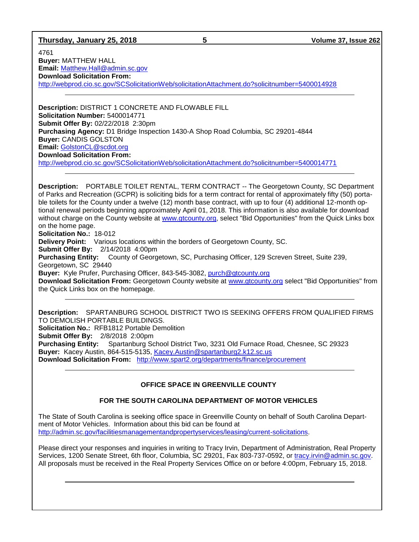# **Thursday, January 25, 2018 5 Volume 37, Issue 262**

4761 **Buyer:** MATTHEW HALL **Email:** [Matthew.Hall@admin.sc.gov](mailto:Matthew.Hall@admin.sc.gov) **Download Solicitation From:**  <http://webprod.cio.sc.gov/SCSolicitationWeb/solicitationAttachment.do?solicitnumber=5400014928>

**Description:** DISTRICT 1 CONCRETE AND FLOWABLE FILL **Solicitation Number:** 5400014771 **Submit Offer By:** 02/22/2018 2:30pm **Purchasing Agency:** D1 Bridge Inspection 1430-A Shop Road Columbia, SC 29201-4844 **Buyer:** CANDIS GOLSTON **Email:** [GolstonCL@scdot.org](mailto:GolstonCL@scdot.org) **Download Solicitation From:**  <http://webprod.cio.sc.gov/SCSolicitationWeb/solicitationAttachment.do?solicitnumber=5400014771>

**Description:** PORTABLE TOILET RENTAL, TERM CONTRACT -- The Georgetown County, SC Department of Parks and Recreation (GCPR) is soliciting bids for a term contract for rental of approximately fifty (50) portable toilets for the County under a twelve (12) month base contract, with up to four (4) additional 12-month optional renewal periods beginning approximately April 01, 2018. This information is also available for download without charge on the County website at [www.gtcounty.org,](http://www.gtcounty.org/) select "Bid Opportunities" from the Quick Links box on the home page.

**Solicitation No.:** 18-012

**Delivery Point:** Various locations within the borders of Georgetown County, SC.

**Submit Offer By:** 2/14/2018 4:00pm

**Purchasing Entity:** County of Georgetown, SC, Purchasing Officer, 129 Screven Street, Suite 239, Georgetown, SC 29440

**Buyer:** Kyle Prufer, Purchasing Officer, 843-545-3082, [purch@gtcounty.org](mailto:purch@gtcounty.org)

**Download Solicitation From:** Georgetown County website at [www.gtcounty.org](http://www.gtcounty.org/) select "Bid Opportunities" from the Quick Links box on the homepage.

**Description:** SPARTANBURG SCHOOL DISTRICT TWO IS SEEKING OFFERS FROM QUALIFIED FIRMS TO DEMOLISH PORTABLE BUILDINGS. **Solicitation No.:** RFB1812 Portable Demolition **Submit Offer By:** 2/8/2018 2:00pm **Purchasing Entity:** Spartanburg School District Two, 3231 Old Furnace Road, Chesnee, SC 29323 **Buyer:** Kacey Austin, 864-515-5135, [Kacey.Austin@spartanburg2.k12.sc.us](mailto:Kacey.Austin@spartanburg2.k12.sc.us) **Download Solicitation From:** <http://www.spart2.org/departments/finance/procurement>

# **OFFICE SPACE IN GREENVILLE COUNTY**

# **FOR THE SOUTH CAROLINA DEPARTMENT OF MOTOR VEHICLES**

The State of South Carolina is seeking office space in Greenville County on behalf of South Carolina Department of Motor Vehicles. Information about this bid can be found at [http://admin.sc.gov/facilitiesmanagementandpropertyservices/leasing/current-solicitations.](http://admin.sc.gov/facilitiesmanagementandpropertyservices/leasing/current-solicitations)

Please direct your responses and inquiries in writing to Tracy Irvin, Department of Administration, Real Property Services, 1200 Senate Street, 6th floor, Columbia, SC 29201, Fax 803-737-0592, or [tracy.irvin@admin.sc.gov.](mailto:tracy.irvin@admin.sc.gov) All proposals must be received in the Real Property Services Office on or before 4:00pm, February 15, 2018.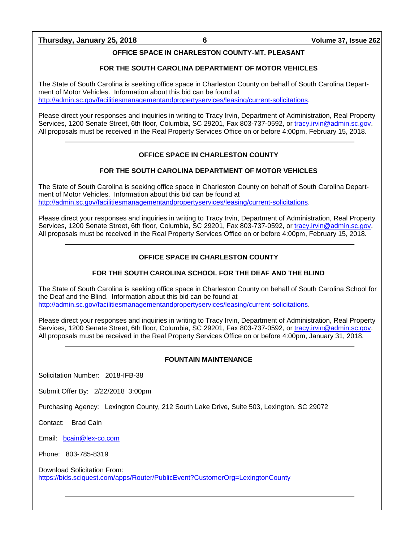# **Thursday, January 25, 2018 6 Volume 37, Issue 262**

# **OFFICE SPACE IN CHARLESTON COUNTY-MT. PLEASANT**

#### **FOR THE SOUTH CAROLINA DEPARTMENT OF MOTOR VEHICLES**

The State of South Carolina is seeking office space in Charleston County on behalf of South Carolina Department of Motor Vehicles. Information about this bid can be found at [http://admin.sc.gov/facilitiesmanagementandpropertyservices/leasing/current-solicitations.](http://admin.sc.gov/facilitiesmanagementandpropertyservices/leasing/current-solicitations)

Please direct your responses and inquiries in writing to Tracy Irvin, Department of Administration, Real Property Services, 1200 Senate Street, 6th floor, Columbia, SC 29201, Fax 803-737-0592, or [tracy.irvin@admin.sc.gov.](mailto:tracy.irvin@admin.sc.gov) All proposals must be received in the Real Property Services Office on or before 4:00pm, February 15, 2018.

# **OFFICE SPACE IN CHARLESTON COUNTY**

### **FOR THE SOUTH CAROLINA DEPARTMENT OF MOTOR VEHICLES**

The State of South Carolina is seeking office space in Charleston County on behalf of South Carolina Department of Motor Vehicles. Information about this bid can be found at [http://admin.sc.gov/facilitiesmanagementandpropertyservices/leasing/current-solicitations.](http://admin.sc.gov/facilitiesmanagementandpropertyservices/leasing/current-solicitations)

Please direct your responses and inquiries in writing to Tracy Irvin, Department of Administration, Real Property Services, 1200 Senate Street, 6th floor, Columbia, SC 29201, Fax 803-737-0592, or [tracy.irvin@admin.sc.gov.](mailto:tracy.irvin@admin.sc.gov) All proposals must be received in the Real Property Services Office on or before 4:00pm, February 15, 2018.

# **OFFICE SPACE IN CHARLESTON COUNTY**

# **FOR THE SOUTH CAROLINA SCHOOL FOR THE DEAF AND THE BLIND**

The State of South Carolina is seeking office space in Charleston County on behalf of South Carolina School for the Deaf and the Blind. Information about this bid can be found at [http://admin.sc.gov/facilitiesmanagementandpropertyservices/leasing/current-solicitations.](http://admin.sc.gov/facilitiesmanagementandpropertyservices/leasing/current-solicitations)

Please direct your responses and inquiries in writing to Tracy Irvin, Department of Administration, Real Property Services, 1200 Senate Street, 6th floor, Columbia, SC 29201, Fax 803-737-0592, or [tracy.irvin@admin.sc.gov.](mailto:tracy.irvin@admin.sc.gov) All proposals must be received in the Real Property Services Office on or before 4:00pm, January 31, 2018.

#### **FOUNTAIN MAINTENANCE**

Solicitation Number: 2018-IFB-38

Submit Offer By: 2/22/2018 3:00pm

Purchasing Agency: Lexington County, 212 South Lake Drive, Suite 503, Lexington, SC 29072

Contact: Brad Cain

Email: [bcain@lex-co.com](mailto:bcain@lex-co.com)

Phone: 803-785-8319

Download Solicitation From: <https://bids.sciquest.com/apps/Router/PublicEvent?CustomerOrg=LexingtonCounty>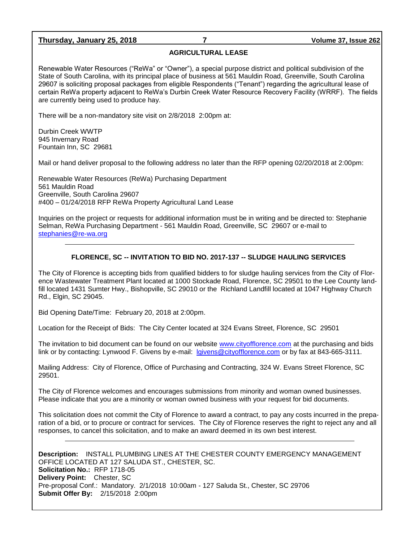# **Thursday, January 25, 2018 7 Volume 37, Issue 262**

#### **AGRICULTURAL LEASE**

Renewable Water Resources ("ReWa" or "Owner"), a special purpose district and political subdivision of the State of South Carolina, with its principal place of business at 561 Mauldin Road, Greenville, South Carolina 29607 is soliciting proposal packages from eligible Respondents ("Tenant") regarding the agricultural lease of certain ReWa property adjacent to ReWa's Durbin Creek Water Resource Recovery Facility (WRRF). The fields are currently being used to produce hay.

There will be a non-mandatory site visit on 2/8/2018 2:00pm at:

Durbin Creek WWTP 945 Invernary Road Fountain Inn, SC 29681

Mail or hand deliver proposal to the following address no later than the RFP opening 02/20/2018 at 2:00pm:

Renewable Water Resources (ReWa) Purchasing Department 561 Mauldin Road Greenville, South Carolina 29607 #400 – 01/24/2018 RFP ReWa Property Agricultural Land Lease

Inquiries on the project or requests for additional information must be in writing and be directed to: Stephanie Selman, ReWa Purchasing Department - 561 Mauldin Road, Greenville, SC 29607 or e-mail to [stephanies@re-wa.org](mailto:stephanies@re-wa.org)

### **FLORENCE, SC -- INVITATION TO BID NO. 2017-137 -- SLUDGE HAULING SERVICES**

The City of Florence is accepting bids from qualified bidders to for sludge hauling services from the City of Florence Wastewater Treatment Plant located at 1000 Stockade Road, Florence, SC 29501 to the Lee County landfill located 1431 Sumter Hwy., Bishopville, SC 29010 or the Richland Landfill located at 1047 Highway Church Rd., Elgin, SC 29045.

Bid Opening Date/Time: February 20, 2018 at 2:00pm.

Location for the Receipt of Bids: The City Center located at 324 Evans Street, Florence, SC 29501

The invitation to bid document can be found on our website [www.cityofflorence.com](http://www.cityofflorence.com/) at the purchasing and bids link or by contacting: Lynwood F. Givens by e-mail: [lgivens@cityofflorence.com](mailto:lgivens@cityofflorence.com) or by fax at 843-665-3111.

Mailing Address: City of Florence, Office of Purchasing and Contracting, 324 W. Evans Street Florence, SC 29501.

The City of Florence welcomes and encourages submissions from minority and woman owned businesses. Please indicate that you are a minority or woman owned business with your request for bid documents.

This solicitation does not commit the City of Florence to award a contract, to pay any costs incurred in the preparation of a bid, or to procure or contract for services. The City of Florence reserves the right to reject any and all responses, to cancel this solicitation, and to make an award deemed in its own best interest.

**Description:** INSTALL PLUMBING LINES AT THE CHESTER COUNTY EMERGENCY MANAGEMENT OFFICE LOCATED AT 127 SALUDA ST., CHESTER, SC. **Solicitation No.:** RFP 1718-05 **Delivery Point:** Chester, SC Pre-proposal Conf.: Mandatory. 2/1/2018 10:00am - 127 Saluda St., Chester, SC 29706 **Submit Offer By:** 2/15/2018 2:00pm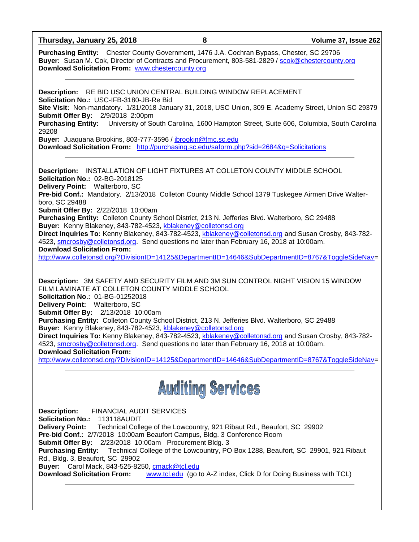**Thursday, January 25, 2018 8 Volume 37, Issue 262**

**Purchasing Entity:** Chester County Government, 1476 J.A. Cochran Bypass, Chester, SC 29706 **Buyer:** Susan M. Cok, Director of Contracts and Procurement, 803-581-2829 / [scok@chestercounty.org](mailto:scok@chestercounty.org)  **Download Solicitation From:** [www.chestercounty.org](http://www.chestercounty.org/)

**Description:** RE BID USC UNION CENTRAL BUILDING WINDOW REPLACEMENT **Solicitation No.:** USC-IFB-3180-JB-Re Bid **Site Visit:** Non-mandatory. 1/31/2018 January 31, 2018, USC Union, 309 E. Academy Street, Union SC 29379 **Submit Offer By:** 2/9/2018 2:00pm **Purchasing Entity:** University of South Carolina, 1600 Hampton Street, Suite 606, Columbia, South Carolina 29208 **Buyer:** Juaquana Brookins, 803-777-3596 / [jbrookin@fmc.sc.edu](mailto:jbrookin@fmc.sc.edu) **Download Solicitation From:** <http://purchasing.sc.edu/saform.php?sid=2684&q=Solicitations> **Description:** INSTALLATION OF LIGHT FIXTURES AT COLLETON COUNTY MIDDLE SCHOOL

**Solicitation No.:** 02-BG-2018125 **Delivery Point:** Walterboro, SC **Pre-bid Conf.:** Mandatory. 2/13/2018 Colleton County Middle School 1379 Tuskegee Airmen Drive Walterboro, SC 29488 **Submit Offer By:** 2/22/2018 10:00am **Purchasing Entity:** Colleton County School District, 213 N. Jefferies Blvd. Walterboro, SC 29488 **Buyer:** Kenny Blakeney, 843-782-4523, [kblakeney@colletonsd.org](mailto:kblakeney@colletonsd.org) **Direct Inquiries To:** Kenny Blakeney, 843-782-4523, [kblakeney@colletonsd.org](mailto:kblakeney@colletonsd.org) and Susan Crosby, 843-782- 4523, [smcrosby@colletonsd.org.](mailto:smcrosby@colletonsd.org) Send questions no later than February 16, 2018 at 10:00am. **Download Solicitation From:**

[http://www.colletonsd.org/?DivisionID=14125&DepartmentID=14646&SubDepartmentID=8767&ToggleSideNav=](http://www.colletonsd.org/?DivisionID=14125&DepartmentID=14646&SubDepartmentID=8767&ToggleSideNav)

**Description:** 3M SAFETY AND SECURITY FILM AND 3M SUN CONTROL NIGHT VISION 15 WINDOW FILM LAMINATE AT COLLETON COUNTY MIDDLE SCHOOL

**Solicitation No.:** 01-BG-01252018

**Delivery Point:** Walterboro, SC

**Submit Offer By:** 2/13/2018 10:00am

**Purchasing Entity:** Colleton County School District, 213 N. Jefferies Blvd. Walterboro, SC 29488 **Buyer:** Kenny Blakeney, 843-782-4523, [kblakeney@colletonsd.org](mailto:kblakeney@colletonsd.org)

**Direct Inquiries To:** Kenny Blakeney, 843-782-4523, [kblakeney@colletonsd.org](mailto:kblakeney@colletonsd.org) and Susan Crosby, 843-782- 4523, [smcrosby@colletonsd.org.](mailto:smcrosby@colletonsd.org) Send questions no later than February 16, 2018 at 10:00am. **Download Solicitation From:**

[http://www.colletonsd.org/?DivisionID=14125&DepartmentID=14646&SubDepartmentID=8767&ToggleSideNav=](http://www.colletonsd.org/?DivisionID=14125&DepartmentID=14646&SubDepartmentID=8767&ToggleSideNav)



**Description:** FINANCIAL AUDIT SERVICES **Solicitation No.:** 113118AUDIT **Delivery Point:** Technical College of the Lowcountry, 921 Ribaut Rd., Beaufort, SC 29902 **Pre-bid Conf.:** 2/7/2018 10:00am Beaufort Campus, Bldg. 3 Conference Room **Submit Offer By:** 2/23/2018 10:00am Procurement Bldg. 3 **Purchasing Entity:** Technical College of the Lowcountry, PO Box 1288, Beaufort, SC 29901, 921 Ribaut Rd., Bldg. 3, Beaufort, SC 29902 **Buyer:** Carol Mack, 843-525-8250, [cmack@tcl.edu](mailto:cmack@tcl.edu) **Download Solicitation From:** [www.tcl.edu](http://www.tcl.edu/) (go to A-Z index, Click D for Doing Business with TCL)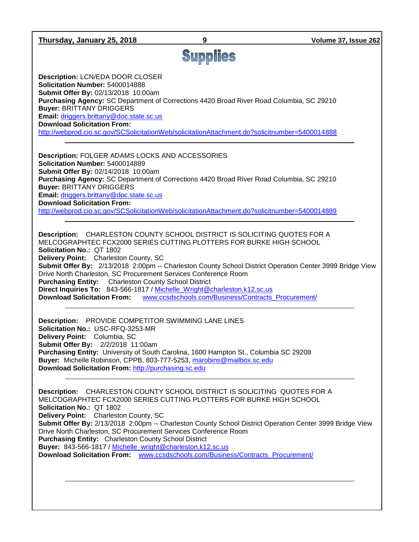| Thursday, January 25, 2018                                                                                                                                                                                                                                                                                                                                                                                                                                                                                | 9                                                   | Volume 37, Issue 262                                                                                     |
|-----------------------------------------------------------------------------------------------------------------------------------------------------------------------------------------------------------------------------------------------------------------------------------------------------------------------------------------------------------------------------------------------------------------------------------------------------------------------------------------------------------|-----------------------------------------------------|----------------------------------------------------------------------------------------------------------|
|                                                                                                                                                                                                                                                                                                                                                                                                                                                                                                           | Supplies                                            |                                                                                                          |
| <b>Description: LCN/EDA DOOR CLOSER</b><br>Solicitation Number: 5400014888<br>Submit Offer By: 02/13/2018 10:00am<br>Purchasing Agency: SC Department of Corrections 4420 Broad River Road Columbia, SC 29210<br><b>Buyer: BRITTANY DRIGGERS</b><br>Email: driggers.brittany@doc.state.sc.us<br><b>Download Solicitation From:</b><br>http://webprod.cio.sc.gov/SCSolicitationWeb/solicitationAttachment.do?solicitnumber=5400014888                                                                      |                                                     |                                                                                                          |
| <b>Description: FOLGER ADAMS LOCKS AND ACCESSORIES</b><br>Solicitation Number: 5400014889<br>Submit Offer By: 02/14/2018 10:00am<br>Purchasing Agency: SC Department of Corrections 4420 Broad River Road Columbia, SC 29210<br><b>Buyer: BRITTANY DRIGGERS</b><br>Email: driggers.brittany@doc.state.sc.us<br><b>Download Solicitation From:</b><br>http://webprod.cio.sc.gov/SCSolicitationWeb/solicitationAttachment.do?solicitnumber=5400014889                                                       |                                                     |                                                                                                          |
| <b>Description:</b> CHARLESTON COUNTY SCHOOL DISTRICT IS SOLICITING QUOTES FOR A<br>MELCOGRAPHTEC FCX2000 SERIES CUTTING PLOTTERS FOR BURKE HIGH SCHOOL<br>Solicitation No.: QT 1802<br>Delivery Point: Charleston County, SC<br>Drive North Charleston, SC Procurement Services Conference Room<br><b>Purchasing Entity:</b> Charleston County School District<br>Direct Inquiries To: 843-566-1817 / Michelle_Wright@charleston.k12.sc.us<br><b>Download Solicitation From:</b>                         | www.ccsdschools.com/Business/Contracts_Procurement/ | Submit Offer By: 2/13/2018 2:00pm -- Charleston County School District Operation Center 3999 Bridge View |
| <b>Description:</b> PROVIDE COMPETITOR SWIMMING LANE LINES<br>Solicitation No.: USC-RFQ-3253-MR<br>Delivery Point: Columbia, SC<br>Submit Offer By: 2/2/2018 11:00am<br>Purchasing Entity: University of South Carolina, 1600 Hampton St., Columbia SC 29208<br>Buyer: Michelle Robinson, CPPB, 803-777-5253, marobins@mailbox.sc.edu<br>Download Solicitation From: http://purchasing.sc.edu                                                                                                             |                                                     |                                                                                                          |
| <b>Description:</b> CHARLESTON COUNTY SCHOOL DISTRICT IS SOLICITING QUOTES FOR A<br>MELCOGRAPHTEC FCX2000 SERIES CUTTING PLOTTERS FOR BURKE HIGH SCHOOL<br>Solicitation No.: QT 1802<br>Delivery Point: Charleston County, SC<br>Drive North Charleston, SC Procurement Services Conference Room<br>Purchasing Entity: Charleston County School District<br>Buyer: 843-566-1817 / Michelle_wright@charleston.k12.sc.us<br>Download Solicitation From: www.ccsdschools.com/Business/Contracts Procurement/ |                                                     | Submit Offer By: 2/13/2018 2:00pm -- Charleston County School District Operation Center 3999 Bridge View |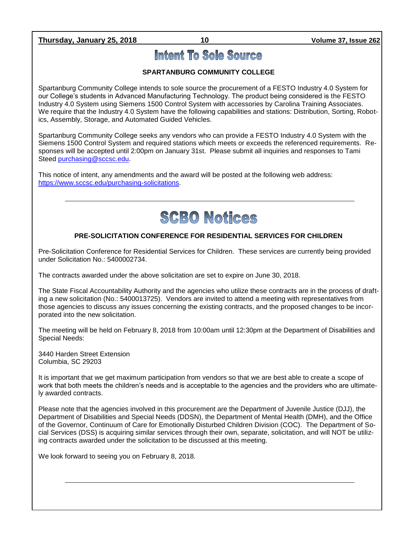**Thursday, January 25, 2018 10 Volume 37, Issue 262**

# Intent To Sole Source

# **SPARTANBURG COMMUNITY COLLEGE**

Spartanburg Community College intends to sole source the procurement of a FESTO Industry 4.0 System for our College's students in Advanced Manufacturing Technology. The product being considered is the FESTO Industry 4.0 System using Siemens 1500 Control System with accessories by Carolina Training Associates. We require that the Industry 4.0 System have the following capabilities and stations: Distribution, Sorting, Robotics, Assembly, Storage, and Automated Guided Vehicles.

Spartanburg Community College seeks any vendors who can provide a FESTO Industry 4.0 System with the Siemens 1500 Control System and required stations which meets or exceeds the referenced requirements. Responses will be accepted until 2:00pm on January 31st. Please submit all inquiries and responses to Tami Steed [purchasing@sccsc.edu.](mailto:purchasing@sccsc.edu)

This notice of intent, any amendments and the award will be posted at the following web address: [https://www.sccsc.edu/purchasing-solicitations.](https://www.sccsc.edu/purchasing-solicitations)



# **PRE-SOLICITATION CONFERENCE FOR RESIDENTIAL SERVICES FOR CHILDREN**

Pre-Solicitation Conference for Residential Services for Children. These services are currently being provided under Solicitation No.: 5400002734.

The contracts awarded under the above solicitation are set to expire on June 30, 2018.

The State Fiscal Accountability Authority and the agencies who utilize these contracts are in the process of drafting a new solicitation (No.: 5400013725). Vendors are invited to attend a meeting with representatives from those agencies to discuss any issues concerning the existing contracts, and the proposed changes to be incorporated into the new solicitation.

The meeting will be held on February 8, 2018 from 10:00am until 12:30pm at the Department of Disabilities and Special Needs:

3440 Harden Street Extension Columbia, SC 29203

It is important that we get maximum participation from vendors so that we are best able to create a scope of work that both meets the children's needs and is acceptable to the agencies and the providers who are ultimately awarded contracts.

Please note that the agencies involved in this procurement are the Department of Juvenile Justice (DJJ), the Department of Disabilities and Special Needs (DDSN), the Department of Mental Health (DMH), and the Office of the Governor, Continuum of Care for Emotionally Disturbed Children Division (COC). The Department of Social Services (DSS) is acquiring similar services through their own, separate, solicitation, and will NOT be utilizing contracts awarded under the solicitation to be discussed at this meeting.

We look forward to seeing you on February 8, 2018.